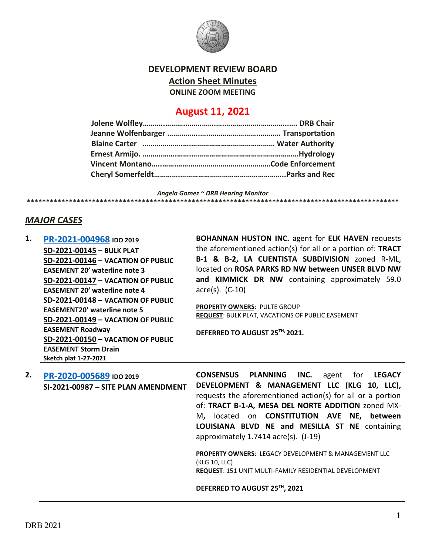

### **DEVELOPMENT REVIEW BOARD**

**Action Sheet Minutes**

**ONLINE ZOOM MEETING**

## **August 11, 2021**

*Angela Gomez ~ DRB Hearing Monitor*

# **\*\*\*\*\*\*\*\*\*\*\*\*\*\*\*\*\*\*\*\*\*\*\*\*\*\*\*\*\*\*\*\*\*\*\*\*\*\*\*\*\*\*\*\*\*\*\*\*\*\*\*\*\*\*\*\*\*\*\*\*\*\*\*\*\*\*\*\*\*\*\*\*\*\*\*\*\*\*\*\*\*\*\*\*\*\*\*\*\*\*\*\*\*\*\*\*\***

### *MAJOR CASES*

**1. [PR-2021-004968](http://data.cabq.gov/government/planning/DRB/PR-2021-004968/DRB%20Submittals/PR-2021-004968_AUG_11_2021%20(Bulk%20P.,%20VPE%20x5)/Application/Bulk_Plat_Submittal_Package%20(1).pdf) IDO 2019 SD-2021-00145 – BULK PLAT SD-2021-00146 – VACATION OF PUBLIC EASEMENT 20' waterline note 3 SD-2021-00147 – VACATION OF PUBLIC EASEMENT 20' waterline note 4 SD-2021-00148 – VACATION OF PUBLIC EASEMENT20' waterline note 5 SD-2021-00149 – VACATION OF PUBLIC EASEMENT Roadway SD-2021-00150 – VACATION OF PUBLIC EASEMENT Storm Drain Sketch plat 1-27-2021**

**BOHANNAN HUSTON INC.** agent for **ELK HAVEN** requests the aforementioned action(s) for all or a portion of: **TRACT B-1 & B-2, LA CUENTISTA SUBDIVISION** zoned R-ML, located on **ROSA PARKS RD NW between UNSER BLVD NW and KIMMICK DR NW** containing approximately 59.0 acre(s). (C-10)

**PROPERTY OWNERS**: PULTE GROUP **REQUEST**: BULK PLAT, VACATIONS OF PUBLIC EASEMENT

**DEFERRED TO AUGUST 25TH, 2021.**

**2. [PR-2020-005689](http://data.cabq.gov/government/planning/DRB/PR-2021-005689/DRB%20Submittals/PR-2021-005689_Aug_11_2021%20(Site%20Plan%20Amend.)/Application/) IDO 2019 SI-2021-00987 – SITE PLAN AMENDMENT**

**CONSENSUS PLANNING INC.** agent for **LEGACY DEVELOPMENT & MANAGEMENT LLC (KLG 10, LLC),**  requests the aforementioned action(s) for all or a portion of: **TRACT B-1-A, MESA DEL NORTE ADDITION** zoned MX-M**,** located on **CONSTITUTION AVE NE, between LOUISIANA BLVD NE and MESILLA ST NE** containing approximately 1.7414 acre(s). (J-19)

**PROPERTY OWNERS**: LEGACY DEVELOPMENT & MANAGEMENT LLC (KLG 10, LLC) **REQUEST**: 151 UNIT MULTI-FAMILY RESIDENTIAL DEVELOPMENT

**DEFERRED TO AUGUST 25TH, 2021**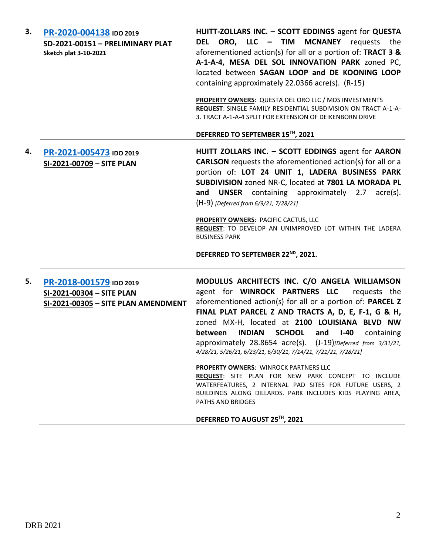| 3. | PR-2020-004138 IDO 2019<br>SD-2021-00151 - PRELIMINARY PLAT<br><b>Sketch plat 3-10-2021</b> | HUITT-ZOLLARS INC. - SCOTT EDDINGS agent for QUESTA<br>DEL ORO, LLC - TIM MCNANEY requests the<br>aforementioned action(s) for all or a portion of: TRACT 3 &<br>A-1-A-4, MESA DEL SOL INNOVATION PARK zoned PC,<br>located between SAGAN LOOP and DE KOONING LOOP<br>containing approximately 22.0366 acre(s). (R-15)<br>PROPERTY OWNERS: QUESTA DEL ORO LLC / MDS INVESTMENTS<br>REQUEST: SINGLE FAMILY RESIDENTIAL SUBDIVISION ON TRACT A-1-A-<br>3. TRACT A-1-A-4 SPLIT FOR EXTENSION OF DEIKENBORN DRIVE<br>DEFERRED TO SEPTEMBER 15TH, 2021                                                                                                                                                                                       |
|----|---------------------------------------------------------------------------------------------|-----------------------------------------------------------------------------------------------------------------------------------------------------------------------------------------------------------------------------------------------------------------------------------------------------------------------------------------------------------------------------------------------------------------------------------------------------------------------------------------------------------------------------------------------------------------------------------------------------------------------------------------------------------------------------------------------------------------------------------------|
| 4. | PR-2021-005473 IDO 2019<br>SI-2021-00709 - SITE PLAN                                        | HUITT ZOLLARS INC. - SCOTT EDDINGS agent for AARON<br><b>CARLSON</b> requests the aforementioned action(s) for all or a<br>portion of: LOT 24 UNIT 1, LADERA BUSINESS PARK<br>SUBDIVISION zoned NR-C, located at 7801 LA MORADA PL<br>and UNSER containing approximately 2.7 acre(s).<br>(H-9) [Deferred from 6/9/21, 7/28/21]<br>PROPERTY OWNERS: PACIFIC CACTUS, LLC<br>REQUEST: TO DEVELOP AN UNIMPROVED LOT WITHIN THE LADERA<br><b>BUSINESS PARK</b><br>DEFERRED TO SEPTEMBER 22 <sup>ND</sup> , 2021.                                                                                                                                                                                                                             |
| 5. | PR-2018-001579 IDO 2019<br>SI-2021-00304 - SITE PLAN<br>SI-2021-00305 - SITE PLAN AMENDMENT | MODULUS ARCHITECTS INC. C/O ANGELA WILLIAMSON<br>agent for WINROCK PARTNERS LLC<br>requests the<br>aforementioned action(s) for all or a portion of: PARCEL Z<br>FINAL PLAT PARCEL Z AND TRACTS A, D, E, F-1, G & H,<br>zoned MX-H, located at 2100 LOUISIANA BLVD NW<br><b>INDIAN</b><br><b>SCHOOL</b><br>between<br>and<br>$I-40$<br>containing<br>approximately 28.8654 acre(s). (J-19)[Deferred from 3/31/21,<br>4/28/21, 5/26/21, 6/23/21, 6/30/21, 7/14/21, 7/21/21, 7/28/21]<br><b>PROPERTY OWNERS: WINROCK PARTNERS LLC</b><br>REQUEST: SITE PLAN FOR NEW PARK CONCEPT TO INCLUDE<br>WATERFEATURES, 2 INTERNAL PAD SITES FOR FUTURE USERS, 2<br>BUILDINGS ALONG DILLARDS. PARK INCLUDES KIDS PLAYING AREA,<br>PATHS AND BRIDGES |

# **DEFERRED TO AUGUST 25TH, 2021**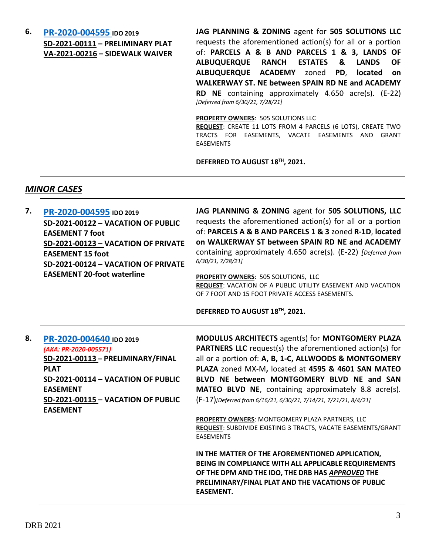**6. [PR-2020-004595](http://data.cabq.gov/government/planning/DRB/PR-2020-004595/DRB%20Submittals/) IDO 2019 SD-2021-00111 – PRELIMINARY PLAT VA-2021-00216 – SIDEWALK WAIVER** **JAG PLANNING & ZONING** agent for **505 SOLUTIONS LLC** requests the aforementioned action(s) for all or a portion of: **PARCELS A & B AND PARCELS 1 & 3, LANDS OF ALBUQUERQUE RANCH ESTATES & LANDS OF ALBUQUERQUE ACADEMY** zoned **PD**, **located on WALKERWAY ST. NE between SPAIN RD NE and ACADEMY RD NE** containing approximately 4.650 acre(s). (E-22) *[Deferred from 6/30/21, 7/28/21]*

**PROPERTY OWNERS**: 505 SOLUTIONS LLC

**REQUEST**: CREATE 11 LOTS FROM 4 PARCELS (6 LOTS), CREATE TWO TRACTS FOR EASEMENTS, VACATE EASEMENTS AND GRANT EASEMENTS

**DEFERRED TO AUGUST 18TH, 2021.**

## *MINOR CASES*

**7. [PR-2020-004595](http://data.cabq.gov/government/planning/DRB/PR-2020-004595/DRB%20Submittals/) IDO 2019 SD-2021-00122 – VACATION OF PUBLIC EASEMENT 7 foot SD-2021-00123 – VACATION OF PRIVATE EASEMENT 15 foot SD-2021-00124 – VACATION OF PRIVATE EASEMENT 20-foot waterline JAG PLANNING & ZONING** agent for **505 SOLUTIONS, LLC** requests the aforementioned action(s) for all or a portion of: **PARCELS A & B AND PARCELS 1 & 3** zoned **R-1D**, **located on WALKERWAY ST between SPAIN RD NE and ACADEMY**  containing approximately 4.650 acre(s). (E-22) *[Deferred from 6/30/21, 7/28/21]* **PROPERTY OWNERS**: 505 SOLUTIONS, LLC **REQUEST**: VACATION OF A PUBLIC UTILITY EASEMENT AND VACATION OF 7 FOOT AND 15 FOOT PRIVATE ACCESS EASEMENTS. **DEFERRED TO AUGUST 18TH, 2021. 8. [PR-2020-004640](http://data.cabq.gov/government/planning/DRB/PR-2020-004640/DRB%20Submittals/) IDO 2019** *(AKA: PR-2020-005571)* **SD-2021-00113 – PRELIMINARY/FINAL PLAT SD-2021-00114 – VACATION OF PUBLIC EASEMENT SD-2021-00115 – VACATION OF PUBLIC EASEMENT MODULUS ARCHITECTS** agent(s) for **MONTGOMERY PLAZA PARTNERS LLC** request(s) the aforementioned action(s) for all or a portion of: **A, B, 1-C, ALLWOODS & MONTGOMERY PLAZA** zoned MX-M**,** located at **4595 & 4601 SAN MATEO BLVD NE between MONTGOMERY BLVD NE and SAN MATEO BLVD NE**, containing approximately 8.8 acre(s). (F-17)*[Deferred from 6/16/21, 6/30/21, 7/14/21, 7/21/21, 8/4/21]* **PROPERTY OWNERS**: MONTGOMERY PLAZA PARTNERS, LLC **REQUEST**: SUBDIVIDE EXISTING 3 TRACTS, VACATE EASEMENTS/GRANT EASEMENTS **IN THE MATTER OF THE AFOREMENTIONED APPLICATION, BEING IN COMPLIANCE WITH ALL APPLICABLE REQUIREMENTS OF THE DPM AND THE IDO, THE DRB HAS** *APPROVED* **THE PRELIMINARY/FINAL PLAT AND THE VACATIONS OF PUBLIC EASEMENT.**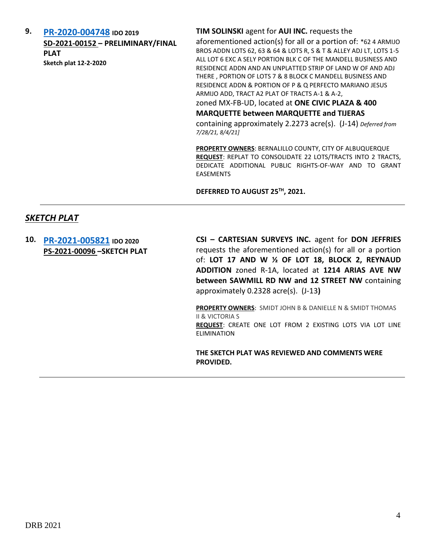**9. [PR-2020-004748](http://data.cabq.gov/government/planning/DRB/PR-2020-004748/DRB%20Submittals/) IDO 2019 SD-2021-00152 – PRELIMINARY/FINAL PLAT Sketch plat 12-2-2020**

### **TIM SOLINSKI** agent for **AUI INC.** requests the

aforementioned action(s) for all or a portion of: \*62 4 ARMIJO BROS ADDN LOTS 62, 63 & 64 & LOTS R, S & T & ALLEY ADJ LT, LOTS 1-5 ALL LOT 6 EXC A SELY PORTION BLK C OF THE MANDELL BUSINESS AND RESIDENCE ADDN AND AN UNPLATTED STRIP OF LAND W OF AND ADJ THERE , PORTION OF LOTS 7 & 8 BLOCK C MANDELL BUSINESS AND RESIDENCE ADDN & PORTION OF P & Q PERFECTO MARIANO JESUS ARMIJO ADD, TRACT A2 PLAT OF TRACTS A-1 & A-2,

zoned MX-FB-UD, located at **ONE CIVIC PLAZA & 400** 

#### **MARQUETTE between MARQUETTE and TIJERAS**

containing approximately 2.2273 acre(s). (J-14) *Deferred from 7/28/21, 8/4/21]*

**PROPERTY OWNERS**: BERNALILLO COUNTY, CITY OF ALBUQUERQUE **REQUEST**: REPLAT TO CONSOLIDATE 22 LOTS/TRACTS INTO 2 TRACTS, DEDICATE ADDITIONAL PUBLIC RIGHTS-OF-WAY AND TO GRANT EASEMENTS

**DEFERRED TO AUGUST 25TH, 2021.**

### *SKETCH PLAT*

**10. [PR-2021-005821](http://data.cabq.gov/government/planning/DRB/PR-2021-005821/DRB%20Submittals/PR-2021-005821_Aug_11_2021%20(Sketch)/Application/DRB_app_Sketch_Plat_211331.pdf) IDO 2020 PS-2021-00096 –SKETCH PLAT** **CSI – CARTESIAN SURVEYS INC.** agent for **DON JEFFRIES** requests the aforementioned action(s) for all or a portion of: **LOT 17 AND W ½ OF LOT 18, BLOCK 2, REYNAUD ADDITION** zoned R-1A, located at **1214 ARIAS AVE NW between SAWMILL RD NW and 12 STREET NW** containing approximately 0.2328 acre(s). (J-13**)**

**PROPERTY OWNERS**: SMIDT JOHN B & DANIELLE N & SMIDT THOMAS II & VICTORIA S **REQUEST**: CREATE ONE LOT FROM 2 EXISTING LOTS VIA LOT LINE **FLIMINATION** 

**THE SKETCH PLAT WAS REVIEWED AND COMMENTS WERE PROVIDED.**